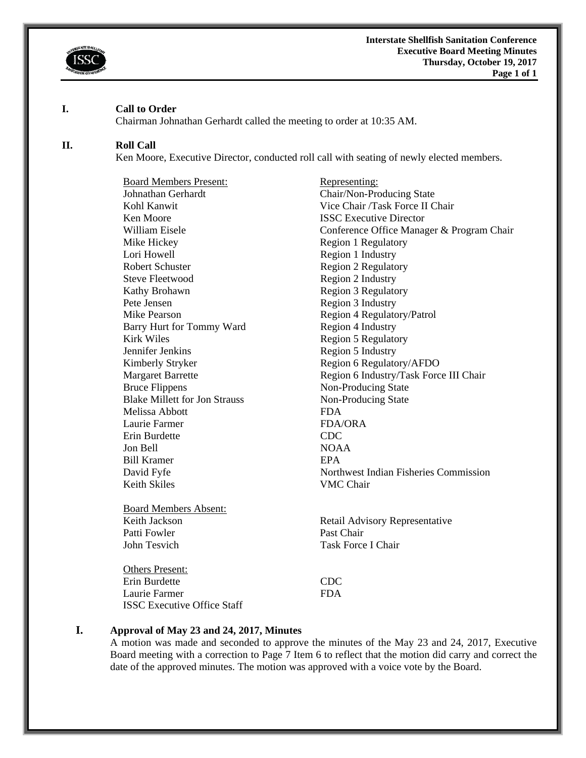

#### **I. Call to Order**

Chairman Johnathan Gerhardt called the meeting to order at 10:35 AM.

#### **II. Roll Call**

Ken Moore, Executive Director, conducted roll call with seating of newly elected members.

Board Members Present: Representing: Johnathan Gerhardt Chair/Non-Producing State Ken Moore **ISSC Executive Director** Mike Hickey Region 1 Regulatory Lori Howell Region 1 Industry Robert Schuster Region 2 Regulatory Steve Fleetwood Region 2 Industry Kathy Brohawn Region 3 Regulatory Pete Jensen Region 3 Industry Mike Pearson<br>
Barry Hurt for Tommy Ward<br>
Region 4 Industry<br>
Region 4 Industry Barry Hurt for Tommy Ward Kirk Wiles Region 5 Regulatory Jennifer Jenkins Region 5 Industry Kimberly Stryker Region 6 Regulatory/AFDO Bruce Flippens Non-Producing State Blake Millett for Jon Strauss Non-Producing State Melissa Abbott FDA Laurie Farmer FDA/ORA Erin Burdette CDC Jon Bell NOAA Bill Kramer **EPA** Keith Skiles **VMC** Chair

Board Members Absent: Patti Fowler Past Chair John Tesvich Task Force I Chair

Others Present: Erin Burdette CDC Laurie Farmer FDA ISSC Executive Office Staff

Kohl Kanwit Vice Chair /Task Force II Chair William Eisele **Conference Office Manager & Program Chair** Conference Office Manager & Program Chair Margaret Barrette **Region 6 Industry/Task Force III Chair** David Fyfe Northwest Indian Fisheries Commission

Keith Jackson Retail Advisory Representative

#### **I. Approval of May 23 and 24, 2017, Minutes**

A motion was made and seconded to approve the minutes of the May 23 and 24, 2017, Executive Board meeting with a correction to Page 7 Item 6 to reflect that the motion did carry and correct the date of the approved minutes. The motion was approved with a voice vote by the Board.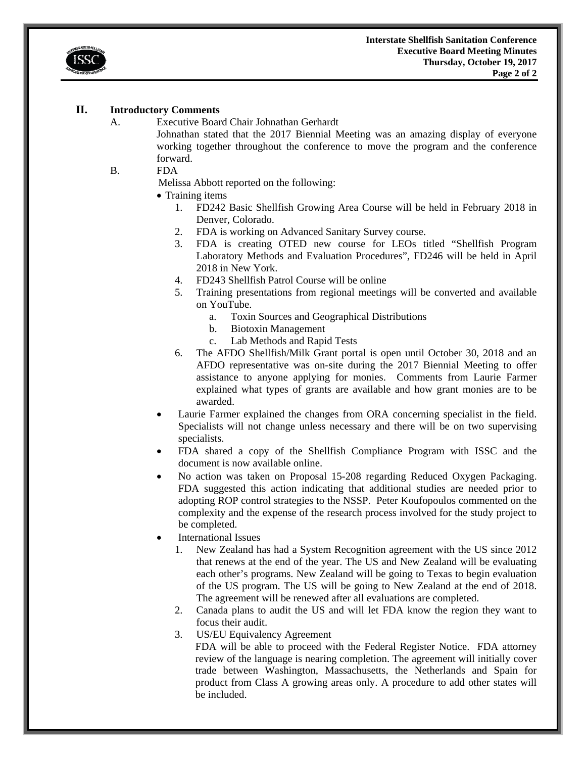

### **II. Introductory Comments**

A. Executive Board Chair Johnathan Gerhardt

Johnathan stated that the 2017 Biennial Meeting was an amazing display of everyone working together throughout the conference to move the program and the conference forward.

B. FDA

Melissa Abbott reported on the following:

- Training items
	- 1. FD242 Basic Shellfish Growing Area Course will be held in February 2018 in Denver, Colorado.
	- 2. FDA is working on Advanced Sanitary Survey course.
	- 3. FDA is creating OTED new course for LEOs titled "Shellfish Program Laboratory Methods and Evaluation Procedures", FD246 will be held in April 2018 in New York.
	- 4. FD243 Shellfish Patrol Course will be online
	- 5. Training presentations from regional meetings will be converted and available on YouTube.
		- a. Toxin Sources and Geographical Distributions
		- b. Biotoxin Management
		- c. Lab Methods and Rapid Tests
	- 6. The AFDO Shellfish/Milk Grant portal is open until October 30, 2018 and an AFDO representative was on-site during the 2017 Biennial Meeting to offer assistance to anyone applying for monies. Comments from Laurie Farmer explained what types of grants are available and how grant monies are to be awarded.
- Laurie Farmer explained the changes from ORA concerning specialist in the field. Specialists will not change unless necessary and there will be on two supervising specialists.
- FDA shared a copy of the Shellfish Compliance Program with ISSC and the document is now available online.
- No action was taken on Proposal 15-208 regarding Reduced Oxygen Packaging. FDA suggested this action indicating that additional studies are needed prior to adopting ROP control strategies to the NSSP. Peter Koufopoulos commented on the complexity and the expense of the research process involved for the study project to be completed.
- International Issues
	- 1. New Zealand has had a System Recognition agreement with the US since 2012 that renews at the end of the year. The US and New Zealand will be evaluating each other's programs. New Zealand will be going to Texas to begin evaluation of the US program. The US will be going to New Zealand at the end of 2018. The agreement will be renewed after all evaluations are completed.
	- 2. Canada plans to audit the US and will let FDA know the region they want to focus their audit.
	- 3. US/EU Equivalency Agreement

FDA will be able to proceed with the Federal Register Notice. FDA attorney review of the language is nearing completion. The agreement will initially cover trade between Washington, Massachusetts, the Netherlands and Spain for product from Class A growing areas only. A procedure to add other states will be included.

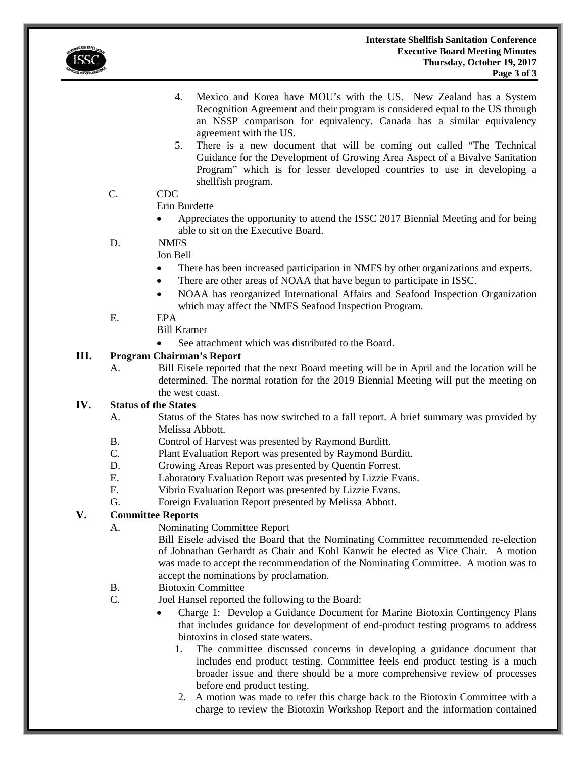

- 4. Mexico and Korea have MOU's with the US. New Zealand has a System Recognition Agreement and their program is considered equal to the US through an NSSP comparison for equivalency. Canada has a similar equivalency agreement with the US.
- 5. There is a new document that will be coming out called "The Technical Guidance for the Development of Growing Area Aspect of a Bivalve Sanitation Program" which is for lesser developed countries to use in developing a shellfish program.

# C. CDC

## Erin Burdette

 Appreciates the opportunity to attend the ISSC 2017 Biennial Meeting and for being able to sit on the Executive Board.

# D. NMFS

# Jon Bell

- There has been increased participation in NMFS by other organizations and experts.
- There are other areas of NOAA that have begun to participate in ISSC.
- NOAA has reorganized International Affairs and Seafood Inspection Organization which may affect the NMFS Seafood Inspection Program.

## E. EPA

- Bill Kramer
- See attachment which was distributed to the Board.

## **III. Program Chairman's Report**

A. Bill Eisele reported that the next Board meeting will be in April and the location will be determined. The normal rotation for the 2019 Biennial Meeting will put the meeting on the west coast.

# **IV. Status of the States**

- A. Status of the States has now switched to a fall report. A brief summary was provided by Melissa Abbott.
- B. Control of Harvest was presented by Raymond Burditt.
- C. Plant Evaluation Report was presented by Raymond Burditt.
- D. Growing Areas Report was presented by Quentin Forrest.
- E. Laboratory Evaluation Report was presented by Lizzie Evans.<br>F. Vibrio Evaluation Report was presented by Lizzie Evans.
- Vibrio Evaluation Report was presented by Lizzie Evans.
- G. Foreign Evaluation Report presented by Melissa Abbott.

## **V. Committee Reports**

A. Nominating Committee Report

Bill Eisele advised the Board that the Nominating Committee recommended re-election of Johnathan Gerhardt as Chair and Kohl Kanwit be elected as Vice Chair. A motion was made to accept the recommendation of the Nominating Committee. A motion was to accept the nominations by proclamation.

- B. Biotoxin Committee
- C. Joel Hansel reported the following to the Board:
	- Charge 1: Develop a Guidance Document for Marine Biotoxin Contingency Plans that includes guidance for development of end-product testing programs to address biotoxins in closed state waters.
		- 1. The committee discussed concerns in developing a guidance document that includes end product testing. Committee feels end product testing is a much broader issue and there should be a more comprehensive review of processes before end product testing.
		- 2. A motion was made to refer this charge back to the Biotoxin Committee with a charge to review the Biotoxin Workshop Report and the information contained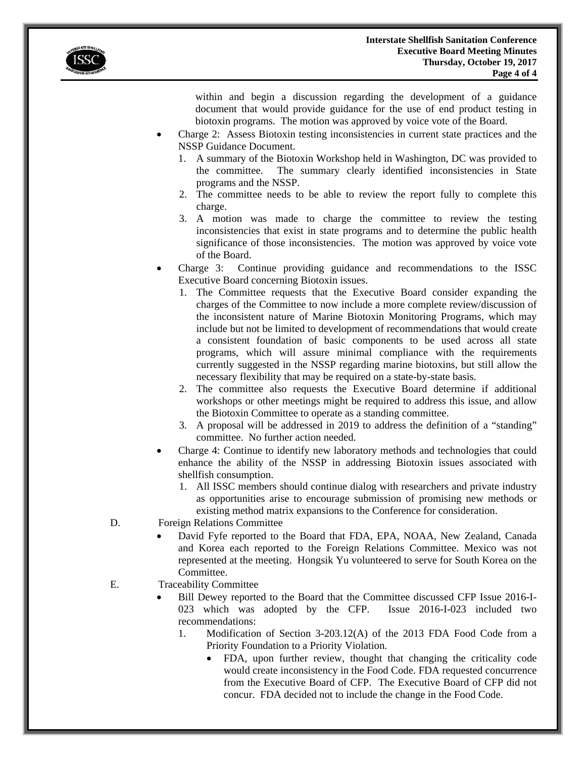

within and begin a discussion regarding the development of a guidance document that would provide guidance for the use of end product testing in biotoxin programs. The motion was approved by voice vote of the Board.

- Charge 2: Assess Biotoxin testing inconsistencies in current state practices and the NSSP Guidance Document.
	- 1. A summary of the Biotoxin Workshop held in Washington, DC was provided to the committee. The summary clearly identified inconsistencies in State programs and the NSSP.
	- 2. The committee needs to be able to review the report fully to complete this charge.
	- 3. A motion was made to charge the committee to review the testing inconsistencies that exist in state programs and to determine the public health significance of those inconsistencies. The motion was approved by voice vote of the Board.
- Charge 3: Continue providing guidance and recommendations to the ISSC Executive Board concerning Biotoxin issues.
	- 1. The Committee requests that the Executive Board consider expanding the charges of the Committee to now include a more complete review/discussion of the inconsistent nature of Marine Biotoxin Monitoring Programs, which may include but not be limited to development of recommendations that would create a consistent foundation of basic components to be used across all state programs, which will assure minimal compliance with the requirements currently suggested in the NSSP regarding marine biotoxins, but still allow the necessary flexibility that may be required on a state-by-state basis.
	- 2. The committee also requests the Executive Board determine if additional workshops or other meetings might be required to address this issue, and allow the Biotoxin Committee to operate as a standing committee.
	- 3. A proposal will be addressed in 2019 to address the definition of a "standing" committee. No further action needed.
- Charge 4: Continue to identify new laboratory methods and technologies that could enhance the ability of the NSSP in addressing Biotoxin issues associated with shellfish consumption.
	- 1. All ISSC members should continue dialog with researchers and private industry as opportunities arise to encourage submission of promising new methods or existing method matrix expansions to the Conference for consideration.
- D. Foreign Relations Committee
	- David Fyfe reported to the Board that FDA, EPA, NOAA, New Zealand, Canada and Korea each reported to the Foreign Relations Committee. Mexico was not represented at the meeting. Hongsik Yu volunteered to serve for South Korea on the Committee.
- E. Traceability Committee
	- Bill Dewey reported to the Board that the Committee discussed CFP Issue 2016-I-023 which was adopted by the CFP. Issue 2016-I-023 included two recommendations:
		- 1. Modification of Section 3-203.12(A) of the 2013 FDA Food Code from a Priority Foundation to a Priority Violation.
			- FDA, upon further review, thought that changing the criticality code would create inconsistency in the Food Code. FDA requested concurrence from the Executive Board of CFP. The Executive Board of CFP did not concur. FDA decided not to include the change in the Food Code.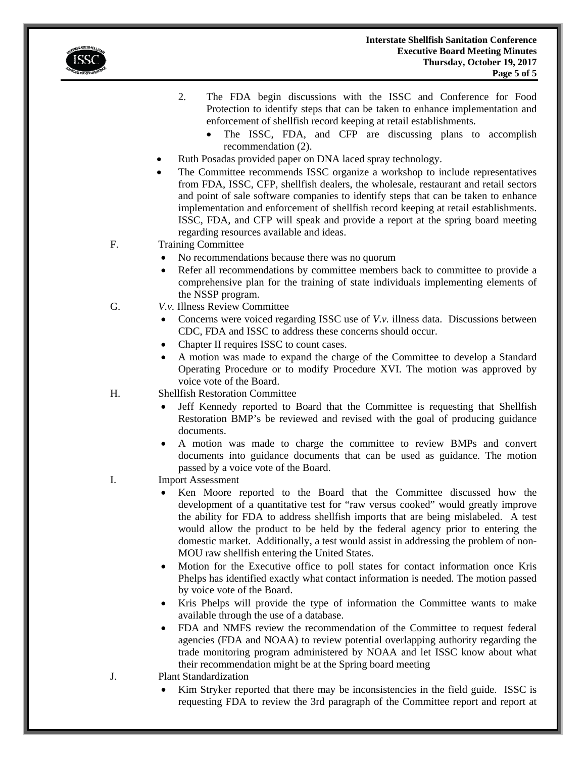

- 2. The FDA begin discussions with the ISSC and Conference for Food Protection to identify steps that can be taken to enhance implementation and enforcement of shellfish record keeping at retail establishments.
	- The ISSC, FDA, and CFP are discussing plans to accomplish recommendation (2).
- Ruth Posadas provided paper on DNA laced spray technology.
- The Committee recommends ISSC organize a workshop to include representatives from FDA, ISSC, CFP, shellfish dealers, the wholesale, restaurant and retail sectors and point of sale software companies to identify steps that can be taken to enhance implementation and enforcement of shellfish record keeping at retail establishments. ISSC, FDA, and CFP will speak and provide a report at the spring board meeting regarding resources available and ideas.
- F. Training Committee
	- No recommendations because there was no quorum
	- Refer all recommendations by committee members back to committee to provide a comprehensive plan for the training of state individuals implementing elements of the NSSP program.
- G. *V.v.* Illness Review Committee
	- Concerns were voiced regarding ISSC use of *V.v.* illness data. Discussions between CDC, FDA and ISSC to address these concerns should occur.
	- Chapter II requires ISSC to count cases.
	- A motion was made to expand the charge of the Committee to develop a Standard Operating Procedure or to modify Procedure XVI. The motion was approved by voice vote of the Board.
- H. Shellfish Restoration Committee
	- Jeff Kennedy reported to Board that the Committee is requesting that Shellfish Restoration BMP's be reviewed and revised with the goal of producing guidance documents.
	- A motion was made to charge the committee to review BMPs and convert documents into guidance documents that can be used as guidance. The motion passed by a voice vote of the Board.
- I. Import Assessment
	- Ken Moore reported to the Board that the Committee discussed how the development of a quantitative test for "raw versus cooked" would greatly improve the ability for FDA to address shellfish imports that are being mislabeled. A test would allow the product to be held by the federal agency prior to entering the domestic market. Additionally, a test would assist in addressing the problem of non-MOU raw shellfish entering the United States.
	- Motion for the Executive office to poll states for contact information once Kris Phelps has identified exactly what contact information is needed. The motion passed by voice vote of the Board.
	- Kris Phelps will provide the type of information the Committee wants to make available through the use of a database.
	- FDA and NMFS review the recommendation of the Committee to request federal agencies (FDA and NOAA) to review potential overlapping authority regarding the trade monitoring program administered by NOAA and let ISSC know about what their recommendation might be at the Spring board meeting
- J. Plant Standardization
	- Kim Stryker reported that there may be inconsistencies in the field guide. ISSC is requesting FDA to review the 3rd paragraph of the Committee report and report at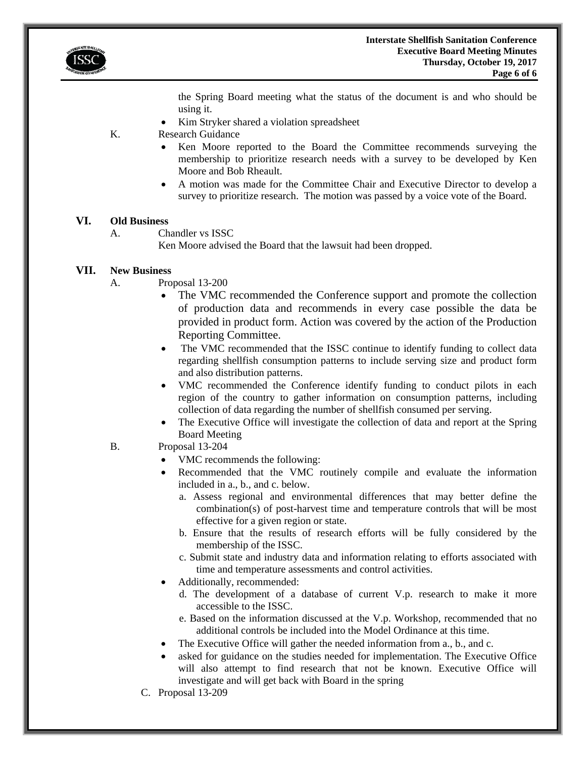

the Spring Board meeting what the status of the document is and who should be using it.

Kim Stryker shared a violation spreadsheet

K. Research Guidance

- Ken Moore reported to the Board the Committee recommends surveying the membership to prioritize research needs with a survey to be developed by Ken Moore and Bob Rheault.
- A motion was made for the Committee Chair and Executive Director to develop a survey to prioritize research. The motion was passed by a voice vote of the Board.

### **VI. Old Business**

A. Chandler vs ISSC

Ken Moore advised the Board that the lawsuit had been dropped.

### **VII. New Business**

- A. Proposal 13-200
	- The VMC recommended the Conference support and promote the collection of production data and recommends in every case possible the data be provided in product form. Action was covered by the action of the Production Reporting Committee.
	- The VMC recommended that the ISSC continue to identify funding to collect data regarding shellfish consumption patterns to include serving size and product form and also distribution patterns.
	- VMC recommended the Conference identify funding to conduct pilots in each region of the country to gather information on consumption patterns, including collection of data regarding the number of shellfish consumed per serving.
	- The Executive Office will investigate the collection of data and report at the Spring Board Meeting
- B. Proposal 13-204
	- VMC recommends the following:
	- Recommended that the VMC routinely compile and evaluate the information included in a., b., and c. below.
		- a. Assess regional and environmental differences that may better define the combination(s) of post-harvest time and temperature controls that will be most effective for a given region or state.
		- b. Ensure that the results of research efforts will be fully considered by the membership of the ISSC.
		- c. Submit state and industry data and information relating to efforts associated with time and temperature assessments and control activities.
	- Additionally, recommended:
		- d. The development of a database of current V.p. research to make it more accessible to the ISSC.
		- e. Based on the information discussed at the V.p. Workshop, recommended that no additional controls be included into the Model Ordinance at this time.
	- The Executive Office will gather the needed information from a., b., and c.
	- asked for guidance on the studies needed for implementation. The Executive Office will also attempt to find research that not be known. Executive Office will investigate and will get back with Board in the spring
	- C. Proposal 13-209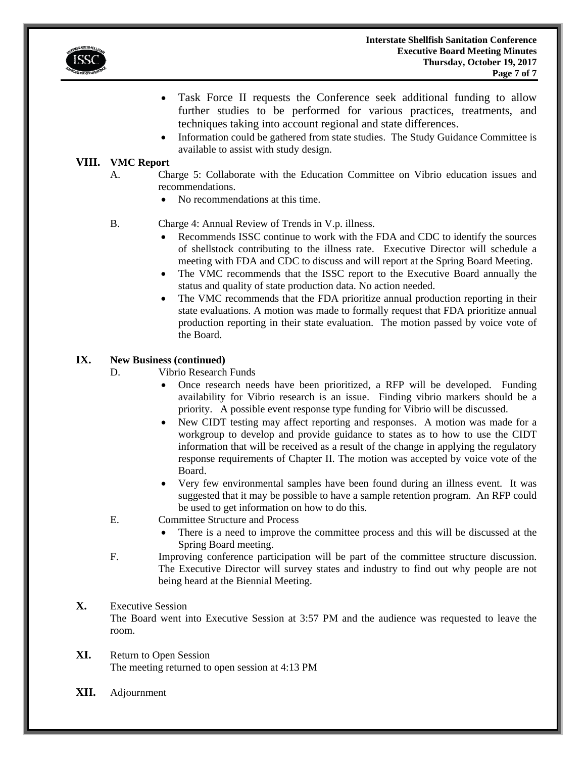

- Task Force II requests the Conference seek additional funding to allow further studies to be performed for various practices, treatments, and techniques taking into account regional and state differences.
- Information could be gathered from state studies. The Study Guidance Committee is available to assist with study design.

### **VIII. VMC Report**

- A. Charge 5: Collaborate with the Education Committee on Vibrio education issues and recommendations.
	- No recommendations at this time.
- B. Charge 4: Annual Review of Trends in V.p. illness.
	- Recommends ISSC continue to work with the FDA and CDC to identify the sources of shellstock contributing to the illness rate. Executive Director will schedule a meeting with FDA and CDC to discuss and will report at the Spring Board Meeting.
	- The VMC recommends that the ISSC report to the Executive Board annually the status and quality of state production data. No action needed.
	- The VMC recommends that the FDA prioritize annual production reporting in their state evaluations. A motion was made to formally request that FDA prioritize annual production reporting in their state evaluation. The motion passed by voice vote of the Board.

### **IX. New Business (continued)**

- D. Vibrio Research Funds
	- Once research needs have been prioritized, a RFP will be developed. Funding availability for Vibrio research is an issue. Finding vibrio markers should be a priority. A possible event response type funding for Vibrio will be discussed.
	- New CIDT testing may affect reporting and responses. A motion was made for a workgroup to develop and provide guidance to states as to how to use the CIDT information that will be received as a result of the change in applying the regulatory response requirements of Chapter II. The motion was accepted by voice vote of the Board.
	- Very few environmental samples have been found during an illness event. It was suggested that it may be possible to have a sample retention program. An RFP could be used to get information on how to do this.
- E. Committee Structure and Process
	- There is a need to improve the committee process and this will be discussed at the Spring Board meeting.
- F. Improving conference participation will be part of the committee structure discussion. The Executive Director will survey states and industry to find out why people are not being heard at the Biennial Meeting.

# **X.** Executive Session

The Board went into Executive Session at 3:57 PM and the audience was requested to leave the room.

- **XI.** Return to Open Session The meeting returned to open session at 4:13 PM
- **XII.** Adjournment